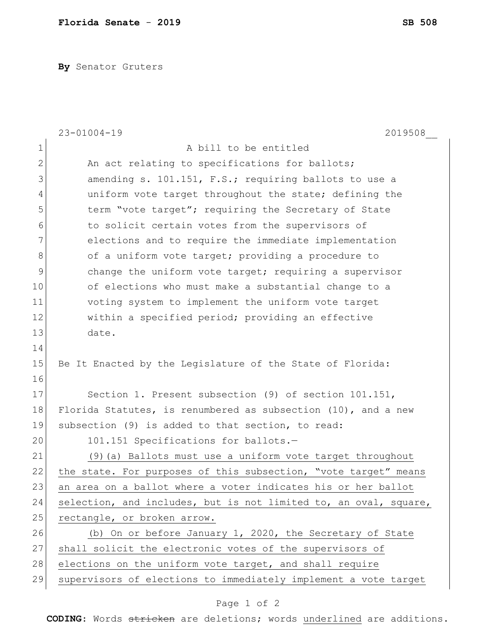**By** Senator Gruters

|                | $23 - 01004 - 19$<br>2019508                                     |
|----------------|------------------------------------------------------------------|
| $\mathbf 1$    | A bill to be entitled                                            |
| $\overline{2}$ | An act relating to specifications for ballots;                   |
| 3              | amending s. 101.151, F.S.; requiring ballots to use a            |
| 4              | uniform vote target throughout the state; defining the           |
| 5              | term "vote target"; requiring the Secretary of State             |
| 6              | to solicit certain votes from the supervisors of                 |
| 7              | elections and to require the immediate implementation            |
| 8              | of a uniform vote target; providing a procedure to               |
| 9              | change the uniform vote target; requiring a supervisor           |
| 10             | of elections who must make a substantial change to a             |
| 11             | voting system to implement the uniform vote target               |
| 12             | within a specified period; providing an effective                |
| 13             | date.                                                            |
| 14             |                                                                  |
| 15             | Be It Enacted by the Legislature of the State of Florida:        |
| 16             |                                                                  |
| 17             | Section 1. Present subsection (9) of section 101.151,            |
| 18             | Florida Statutes, is renumbered as subsection $(10)$ , and a new |
| 19             | subsection (9) is added to that section, to read:                |
| 20             | 101.151 Specifications for ballots.-                             |
| 21             | (9) (a) Ballots must use a uniform vote target throughout        |
| 22             | the state. For purposes of this subsection, "vote target" means  |
| 23             | an area on a ballot where a voter indicates his or her ballot    |
| 24             | selection, and includes, but is not limited to, an oval, square, |
| 25             | rectangle, or broken arrow.                                      |
| 26             | (b) On or before January 1, 2020, the Secretary of State         |
| 27             | shall solicit the electronic votes of the supervisors of         |
| 28             | elections on the uniform vote target, and shall require          |
| 29             | supervisors of elections to immediately implement a vote target  |

## Page 1 of 2

**CODING**: Words stricken are deletions; words underlined are additions.